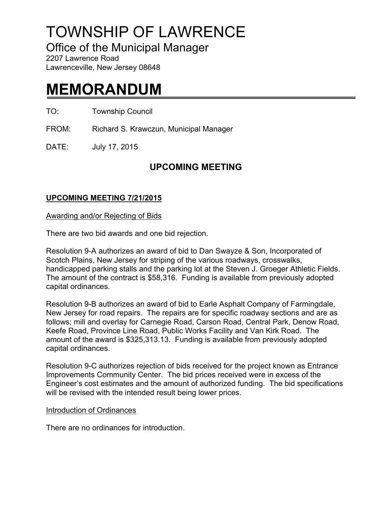# TOWNSHIP OF LAWRENCE

Office of the Municipal Manager

2207 Lawrence Road Lawrenceville, New Jersey 08648

# **MEMORANDUM**

TO: Township Council

FROM: Richard S. Krawczun, Municipal Manager

DATE: July 17, 2015

# **UPCOMING MEETING**

## **UPCOMING MEETING 7/21/2015**

Awarding and/or Rejecting of Bids

There are two bid awards and one bid rejection.

Resolution 9-A authorizes an award of bid to Dan Swayze & Son, Incorporated of Scotch Plains, New Jersey for striping of the various roadways, crosswalks, handicapped parking stalls and the parking lot at the Steven J. Groeger Athletic Fields. The amount of the contract is \$58,316. Funding is available from previously adopted capital ordinances.

Resolution 9-B authorizes an award of bid to Earle Asphalt Company of Farmingdale, New Jersey for road repairs. The repairs are for specific roadway sections and are as follows; mill and overlay for Carnegie Road, Carson Road, Central Park, Denow Road, Keefe Road, Province Line Road, Public Works Facility and Van Kirk Road. The amount of the award is \$325,313.13. Funding is available from previously adopted capital ordinances.

Resolution 9-C authorizes rejection of bids received for the project known as Entrance Improvements Community Center. The bid prices received were in excess of the Engineer's cost estimates and the amount of authorized funding. The bid specifications will be revised with the intended result being lower prices.

### Introduction of Ordinances

There are no ordinances for introduction.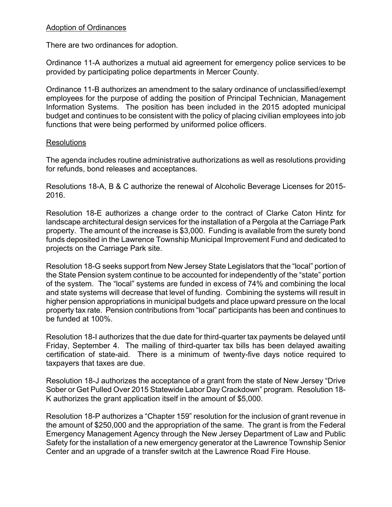#### Adoption of Ordinances

There are two ordinances for adoption.

Ordinance 11-A authorizes a mutual aid agreement for emergency police services to be provided by participating police departments in Mercer County.

Ordinance 11-B authorizes an amendment to the salary ordinance of unclassified/exempt employees for the purpose of adding the position of Principal Technician, Management Information Systems. The position has been included in the 2015 adopted municipal budget and continues to be consistent with the policy of placing civilian employees into job functions that were being performed by uniformed police officers.

#### Resolutions

The agenda includes routine administrative authorizations as well as resolutions providing for refunds, bond releases and acceptances.

Resolutions 18-A, B & C authorize the renewal of Alcoholic Beverage Licenses for 2015- 2016.

Resolution 18-E authorizes a change order to the contract of Clarke Caton Hintz for landscape architectural design services for the installation of a Pergola at the Carriage Park property. The amount of the increase is \$3,000. Funding is available from the surety bond funds deposited in the Lawrence Township Municipal Improvement Fund and dedicated to projects on the Carriage Park site.

Resolution 18-G seeks support from New Jersey State Legislators that the "local" portion of the State Pension system continue to be accounted for independently of the "state" portion of the system. The "local" systems are funded in excess of 74% and combining the local and state systems will decrease that level of funding. Combining the systems will result in higher pension appropriations in municipal budgets and place upward pressure on the local property tax rate. Pension contributions from "local" participants has been and continues to be funded at 100%.

Resolution 18-I authorizes that the due date for third-quarter tax payments be delayed until Friday, September 4. The mailing of third-quarter tax bills has been delayed awaiting certification of state-aid. There is a minimum of twenty-five days notice required to taxpayers that taxes are due.

Resolution 18-J authorizes the acceptance of a grant from the state of New Jersey "Drive Sober or Get Pulled Over 2015 Statewide Labor Day Crackdown" program. Resolution 18- K authorizes the grant application itself in the amount of \$5,000.

Resolution 18-P authorizes a "Chapter 159" resolution for the inclusion of grant revenue in the amount of \$250,000 and the appropriation of the same. The grant is from the Federal Emergency Management Agency through the New Jersey Department of Law and Public Safety for the installation of a new emergency generator at the Lawrence Township Senior Center and an upgrade of a transfer switch at the Lawrence Road Fire House.